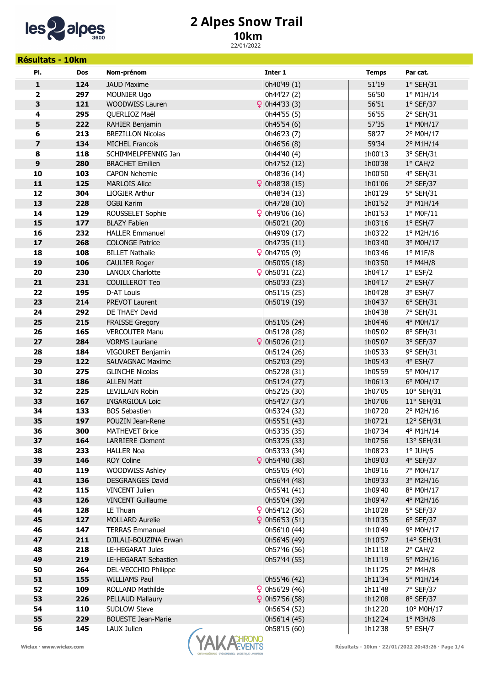

## 2 Alpes Snow Trail

## 10km

22/01/2022

| <b>Résultats - 10km</b> |            |                                           |                |                              |                    |                                                   |
|-------------------------|------------|-------------------------------------------|----------------|------------------------------|--------------------|---------------------------------------------------|
| PI.                     | <b>Dos</b> | Nom-prénom                                |                | Inter 1                      | <b>Temps</b>       | Par cat.                                          |
| 1                       | 124        | <b>JAUD Maxime</b>                        |                | 0h40'49 (1)                  | 51'19              | $1°$ SEH/31                                       |
| 2                       | 297        | <b>MOUNIER Ugo</b>                        |                | 0h44'27 (2)                  | 56'50              | 1º M1H/14                                         |
| 3                       | 121        | WOODWISS Lauren                           |                | $\left  \right $ 0h44'33 (3) | 56'51              | $1°$ SEF/37                                       |
| 4                       | 295        | QUERLIOZ Maël                             |                | 0h44'55 (5)                  | 56'55              | $2°$ SEH/31                                       |
| 5                       | 222        | RAHIER Benjamin                           |                | 0h45'54 (6)                  | 57'35              | 1° M0H/17                                         |
| 6                       | 213        | <b>BREZILLON Nicolas</b>                  |                | 0h46'23 (7)                  | 58'27              | 2° M0H/17                                         |
| $\overline{\mathbf{z}}$ | 134        | <b>MICHEL Francois</b>                    |                | 0h46'56 (8)                  | 59'34              | 2° M1H/14                                         |
| 8                       | 118        | SCHIMMELPFENNIG Jan                       |                | 0h44'40 (4)                  | 1h00'13            | 3° SEH/31                                         |
| $\boldsymbol{9}$        | 280        | <b>BRACHET Emilien</b>                    |                | 0h47'52 (12)                 | 1h00'38            | $1^{\circ}$ CAH/2                                 |
| 10                      | 103        | <b>CAPON Nehemie</b>                      |                | 0h48'36 (14)                 | 1h00'50            | 4° SEH/31                                         |
| 11                      | 125        | <b>MARLOIS Alice</b>                      |                | $\frac{6}{2}$ 0h48'38 (15)   | 1h01'06            | $2°$ SEF/37                                       |
| 12                      | 304        | LIOGIER Arthur                            |                | 0h48'34 (13)                 | 1h01'29            | 5° SEH/31                                         |
| 13                      | 228        | <b>OGBI Karim</b>                         |                | 0h47'28 (10)                 | 1h01'52            | 3° M1H/14                                         |
| 14                      | 129        | ROUSSELET Sophie                          |                | $\frac{6}{2}$ 0h49'06 (16)   | 1h01'53            | $1°$ MOF/11                                       |
| 15                      | 177        | <b>BLAZY Fabien</b>                       |                | 0h50'21 (20)                 | 1h03'16            | $1^{\circ}$ ESH/7                                 |
| 16                      | 232        | <b>HALLER Emmanuel</b>                    |                | 0h49'09 (17)                 | 1h03'22            | $1°$ M2H/16                                       |
| $17$                    | 268        | <b>COLONGE Patrice</b>                    |                | 0h47'35 (11)                 | 1h03'40            | 3° M0H/17                                         |
| 18                      | 108        | <b>BILLET Nathalie</b>                    |                | $\frac{6}{2}$ 0h47'05 (9)    | 1h03'46            | $1°$ M1F/8                                        |
| 19                      | 106        | <b>CAULIER Roger</b>                      |                | 0h50'05 (18)                 | 1h03'50            | $1°$ M4H/8                                        |
| 20                      | 230        | <b>LANOIX Charlotte</b>                   |                | $\frac{6}{2}$ 0h50'31 (22)   | 1h04'17            | $1°$ ESF/2                                        |
| 21                      | 231        | <b>COUILLEROT Teo</b>                     |                | 0h50'33 (23)                 | 1h04'17            | $2°$ ESH/7                                        |
| 22                      | 195        | D-AT Louis                                |                | 0h51'15 (25)                 | 1h04'28            | 3° ESH/7                                          |
| 23                      | 214        | PREVOT Laurent                            |                | 0h50'19 (19)                 | 1h04'37            | $6°$ SEH/31                                       |
| 24                      | 292        | DE THAEY David                            |                |                              | 1h04'38            | 7° SEH/31                                         |
| 25                      | 215        | <b>FRAISSE Gregory</b>                    |                | 0h51'05 (24)                 | 1h04'46            | 4° M0H/17                                         |
| 26                      | 165        | <b>VERCOUTER Manu</b>                     |                | 0h51'28 (28)                 | 1h05'02            | 8° SEH/31                                         |
| 27                      | 284        | <b>VORMS Lauriane</b>                     |                | $\frac{6}{2}$ 0h50'26 (21)   | 1h05'07            | 3° SEF/37                                         |
| 28                      | 184        | VIGOURET Benjamin                         |                | 0h51'24 (26)                 | 1h05'33            | 9° SEH/31                                         |
| 29                      | 122        | <b>SAUVAGNAC Maxime</b>                   |                | 0h52'03 (29)                 | 1h05'43            | 4° ESH/7                                          |
| 30                      | 275        | <b>GLINCHE Nicolas</b>                    |                | 0h52'28 (31)                 | 1h05'59            | 5° M0H/17                                         |
| 31                      | 186        | <b>ALLEN Matt</b>                         |                | 0h51'24 (27)                 | 1h06'13            | 6° M0H/17                                         |
| 32                      | 225        | <b>LEVILLAIN Robin</b>                    |                | 0h52'25 (30)                 | 1h07'05            | 10° SEH/31                                        |
| 33                      | 167        | <b>INGARGIOLA Loic</b>                    |                | 0h54'27 (37)                 | 1h07'06            | 11° SEH/31                                        |
| 34                      | 133        | <b>BOS Sebastien</b>                      |                | 0h53'24 (32)                 | 1h07'20            | 2° M2H/16                                         |
| 35                      | 197<br>300 | POUZIN Jean-Rene<br><b>MATHEVET Brice</b> |                | 0h55'51 (43)                 | 1h07'21            | $12^{\circ}$ SEH/31<br>4° M1H/14                  |
| 36<br>37                | 164        | <b>LARRIERE Clement</b>                   |                | 0h53'35 (35)<br>0h53'25 (33) | 1h07'34<br>1h07'56 | 13° SEH/31                                        |
| 38                      | 233        | <b>HALLER Noa</b>                         |                | 0h53'33 (34)                 | 1h08'23            | $1^\circ$ JUH/5                                   |
| 39                      | 146        | <b>ROY Coline</b>                         |                | $\frac{6}{2}$ 0h54'40 (38)   | 1h09'03            | 4° SEF/37                                         |
| 40                      | 119        | <b>WOODWISS Ashley</b>                    |                | 0h55'05 (40)                 | 1h09'16            | 7° M0H/17                                         |
| 41                      | 136        | <b>DESGRANGES David</b>                   |                | 0h56'44 (48)                 | 1h09'33            | 3° M2H/16                                         |
| 42                      | 115        | <b>VINCENT Julien</b>                     |                | 0h55'41 (41)                 | 1h09'40            | 8° M0H/17                                         |
| 43                      | 126        | <b>VINCENT Guillaume</b>                  |                | 0h55'04 (39)                 | 1h09'47            | 4° M2H/16                                         |
| 44                      | 128        | LE Thuan                                  |                | $\frac{6}{2}$ 0h54'12 (36)   | 1h10'28            | 5° SEF/37                                         |
| 45                      | 127        | <b>MOLLARD Aurelie</b>                    |                | $\frac{6}{2}$ 0h56'53 (51)   | 1h10'35            | $6°$ SEF/37                                       |
| 46                      | 147        | <b>TERRAS Emmanuel</b>                    |                | 0h56'10 (44)                 | 1h10'49            | 9° M0H/17                                         |
| 47                      | 211        | DJILALI-BOUZINA Erwan                     |                | 0h56'45 (49)                 | 1h10'57            | 14° SEH/31                                        |
| 48                      | 218        | LE-HEGARAT Jules                          |                | 0h57'46 (56)                 | 1h11'18            | $2^{\circ}$ CAH/2                                 |
| 49                      | 219        | LE-HEGARAT Sebastien                      |                | 0h57'44 (55)                 | 1h11'19            | 5° M2H/16                                         |
| 50                      | 264        | DEL-VECCHIO Philippe                      |                |                              | 1h11'25            | $2^{\circ}$ M4H/8                                 |
| 51                      | 155        | <b>WILLIAMS Paul</b>                      |                | 0h55'46 (42)                 | 1h11'34            | 5° M1H/14                                         |
| 52                      | 109        | <b>ROLLAND Mathilde</b>                   |                | $\frac{6}{2}$ 0h56'29 (46)   | 1h11'48            | 7° SEF/37                                         |
| 53                      | 226        | PELLAUD Mallaury                          |                | $\frac{6}{2}$ 0h57'56 (58)   | 1h12'08            | 8° SEF/37                                         |
| 54                      | 110        | <b>SUDLOW Steve</b>                       |                | 0h56'54 (52)                 | 1h12'20            | $10^{\circ}$ M0H/17                               |
| 55                      | 229        | <b>BOUESTE Jean-Marie</b>                 |                | 0h56'14 (45)                 | 1h12'24            | $1^\circ$ M3H/8                                   |
| 56                      | 145        | LAUX Julien                               |                | 0h58'15 (60)                 | 1h12'38            | 5° ESH/7                                          |
| Wiclax · www.wiclax.com |            |                                           | <b>ACHRONO</b> |                              |                    | Résultats - 10km · 22/01/2022 20:43:26 · Page 1/4 |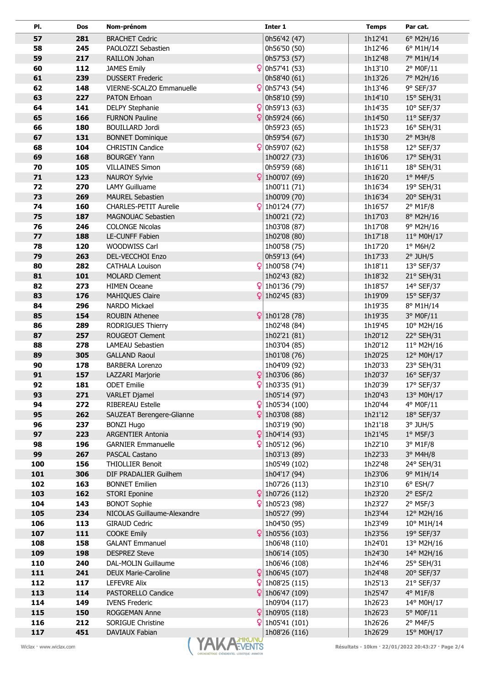| PI.                     | Dos | Nom-prénom                        | Inter 1                                  | <b>Temps</b> | Par cat.                                          |
|-------------------------|-----|-----------------------------------|------------------------------------------|--------------|---------------------------------------------------|
| 57                      | 281 | <b>BRACHET Cedric</b>             | 0h56'42 (47)                             | 1h12'41      | 6° M2H/16                                         |
| 58                      | 245 | PAOLOZZI Sebastien                | 0h56'50 (50)                             | 1h12'46      | 6° M1H/14                                         |
| 59                      | 217 | RAILLON Johan                     | 0h57'53 (57)                             | 1h12'48      | 7° M1H/14                                         |
| 60                      | 112 | <b>JAMES Emily</b>                | $\frac{6}{2}$ 0h57'41 (53)               | 1h13'10      | 2° M0F/11                                         |
| 61                      | 239 | <b>DUSSERT Frederic</b>           | 0h58'40 (61)                             | 1h13'26      | 7° M2H/16                                         |
| 62                      | 148 | VIERNE-SCALZO Emmanuelle          | $\frac{6}{2}$ 0h57'43 (54)               | 1h13'46      | 9° SEF/37                                         |
| 63                      | 227 | PATON Erhoan                      | 0h58'10 (59)                             | 1h14'10      | 15° SEH/31                                        |
| 64                      | 141 | <b>DELPY Stephanie</b>            | 0h59'13 (63)                             | 1h14'35      | 10° SEF/37                                        |
| 65                      | 166 | <b>FURNON Pauline</b>             | 0h59'24 (66)                             | 1h14'50      | $11^{\circ}$ SEF/37                               |
| 66                      | 180 | <b>BOUILLARD Jordi</b>            | 0h59'23 (65)                             | 1h15'23      | 16° SEH/31                                        |
| 67                      | 131 | <b>BONNET Dominique</b>           | 0h59'54 (67)                             | 1h15'30      | $2^{\circ}$ M3H/8                                 |
| 68                      | 104 | <b>CHRISTIN Candice</b>           | 0h59'07 (62)                             | 1h15'58      | 12° SEF/37                                        |
| 69                      | 168 | <b>BOURGEY Yann</b>               | 1h00'27 (73)                             | 1h16'06      | 17° SEH/31                                        |
| 70                      | 105 | <b>VILLAINES Simon</b>            | 0h59'59 (68)                             | 1h16'11      | 18° SEH/31                                        |
| 71                      | 123 | Q<br><b>NAUROY Sylvie</b>         | 1h00'07 (69)                             | 1h16'20      | $1°$ M4F/5                                        |
| 72                      | 270 | <b>LAMY Guilluame</b>             | 1h00'11 (71)                             | 1h16'34      | 19° SEH/31                                        |
| 73                      | 269 | <b>MAUREL Sebastien</b>           | 1h00'09 (70)                             | 1h16'34      | 20° SEH/31                                        |
| 74                      | 160 | ₽<br><b>CHARLES-PETIT Aurelie</b> | 1h01'24 (77)                             | 1h16'57      | $2°$ M1F/8                                        |
| 75                      | 187 | <b>MAGNOUAC Sebastien</b>         | 1h00'21 (72)                             | 1h17'03      | 8° M2H/16                                         |
| 76                      | 246 | <b>COLONGE Nicolas</b>            | 1h03'08 (87)                             | 1h17'08      | 9° M2H/16                                         |
| 77                      | 188 | LE-CUNFF Fabien                   | 1h02'08 (80)                             | 1h17'18      | 11° M0H/17                                        |
| 78                      | 120 | WOODWISS Carl                     | 1h00'58 (75)                             | 1h17'20      | $1^\circ$ M6H/2                                   |
| 79                      | 263 | <b>DEL-VECCHOI Enzo</b>           | 0h59'13 (64)                             | 1h17'33      | $2°$ JUH/5                                        |
| 80                      | 282 | <b>CATHALA Louison</b>            | $ $ 1h00'58 (74)                         | 1h18'11      | 13° SEF/37                                        |
| 81                      | 101 | <b>MOLARD Clement</b>             | 1h02'43 (82)                             | 1h18'32      | 21° SEH/31                                        |
| 82                      | 273 | <b>HIMEN Oceane</b>               | $\left  \mathbf{Q} \right $ 1h01'36 (79) | 1h18'57      | 14° SEF/37                                        |
| 83                      | 176 | Q<br><b>MAHIQUES Claire</b>       | 1h02'45 (83)                             | 1h19'09      | $15^{\circ}$ SEF/37                               |
| 84                      | 296 | NARDO Mickael                     |                                          | 1h19'35      | 8° M1H/14                                         |
| 85                      | 154 | Q<br><b>ROUBIN Athenee</b>        | 1h01'28 (78)                             | 1h19'35      | 3° M0F/11                                         |
| 86                      | 289 | RODRIGUES Thierry                 | 1h02'48 (84)                             | 1h19'45      | $10^{\circ}$ M2H/16                               |
| 87                      | 257 | ROUGEOT Clement                   | 1h02'21 (81)                             | 1h20'12      | 22° SEH/31                                        |
| 88                      | 278 | <b>LAMEAU Sebastien</b>           | 1h03'04 (85)                             | 1h20'12      | $11^{\circ}$ M2H/16                               |
| 89                      | 305 | <b>GALLAND Raoul</b>              | 1h01'08 (76)                             | 1h20'25      | 12° M0H/17                                        |
| 90                      | 178 | <b>BARBERA Lorenzo</b>            | 1h04'09 (92)                             | 1h20'33      | 23° SEH/31                                        |
| 91                      | 157 | LAZZARI Marjorie                  | 1h03'06 (86)                             | 1h20'37      | 16° SEF/37                                        |
| 92                      | 181 | Q<br><b>ODET Emilie</b>           | 1h03'35 (91)                             | 1h20'39      | 17° SEF/37                                        |
| 93                      | 271 | <b>VARLET Djamel</b>              | 1h05'14 (97)                             | 1h20'43      | 13° M0H/17                                        |
| 94                      | 272 | RIBEREAU Estelle                  | 1h05'34 (100)                            | 1h20'44      | 4° M0F/11                                         |
| 95                      | 262 | SAUZEAT Berengere-Glianne         | 1h03'08 (88)                             | 1h21'12      | 18° SEF/37                                        |
| 96                      | 237 | <b>BONZI Hugo</b>                 | 1h03'19 (90)                             | 1h21'18      | $3°$ JUH/5                                        |
| 97                      | 223 | <b>ARGENTIER Antonia</b>          | 1h04'14 (93)                             | 1h21'45      | $1^\circ$ M5F/3                                   |
| 98                      | 196 | <b>GARNIER Emmanuelle</b>         | 1h05'12 (96)                             | 1h22'10      | 3° M1F/8                                          |
| 99                      | 267 | <b>PASCAL Castano</b>             | 1h03'13 (89)                             | 1h22'33      | $3°$ M4H/8                                        |
| 100                     | 156 | <b>THIOLLIER Benoit</b>           | 1h05'49 (102)                            | 1h22'48      | 24° SEH/31                                        |
| 101                     | 306 | DIF PRADALIER Guilhem             | 1h04'17 (94)                             | 1h23'06      | 9° M1H/14                                         |
| 102                     | 163 | <b>BONNET Emilien</b>             | 1h07'26 (113)                            | 1h23'10      | $6^{\circ}$ ESH/7                                 |
| 103                     | 162 | <b>STORI Eponine</b>              | 1h07'26 (112)                            | 1h23'20      | $2°$ ESF/2                                        |
| 104                     | 143 | <b>BONOT Sophie</b>               | 1h05'23 (98)                             | 1h23'27      | $2°$ M5F/3                                        |
| 105                     | 234 | NICOLAS Guillaume-Alexandre       | 1h05'27 (99)                             | 1h23'44      | 12° M2H/16                                        |
| 106                     | 113 | <b>GIRAUD Cedric</b>              | 1h04'50 (95)                             | 1h23'49      | 10° M1H/14                                        |
| 107                     | 111 | <b>COOKE Emily</b>                | 1h05'56 (103)                            | 1h23'56      | 19° SEF/37                                        |
| 108                     | 158 | <b>GALANT Emmanuel</b>            | 1h06'48 (110)                            | 1h24'01      | 13° M2H/16                                        |
| 109                     | 198 | <b>DESPREZ Steve</b>              | 1h06'14 (105)                            | 1h24'30      | 14° M2H/16                                        |
| 110                     | 240 | DAL-MOLIN Guillaume               | 1h06'46 (108)                            | 1h24'46      | 25° SEH/31                                        |
| 111                     | 241 | Q<br>DEUX Marie-Caroline          | 1h06'45 (107)                            | 1h24'48      | 20° SEF/37                                        |
| 112                     | 117 | <b>LEFEVRE Alix</b>               | 1h08'25 (115)                            | 1h25'13      | 21° SEF/37                                        |
| 113                     | 114 | Q<br><b>PASTORELLO Candice</b>    | 1h06'47 (109)                            | 1h25'47      | 4° M1F/8                                          |
| 114                     | 149 | <b>IVENS Frederic</b>             | 1h09'04 (117)                            | 1h26'23      | 14° M0H/17                                        |
| 115                     | 150 | Q<br>ROGGEMAN Anne                | 1h09'05 (118)                            | 1h26'23      | 5° M0F/11                                         |
| 116<br>117              | 212 | Q<br><b>SORIGUE Christine</b>     | 1h05'41 (101)                            | 1h26'26      | $2°$ M4F/5                                        |
|                         | 451 | DAVIAUX Fabian                    | 1h08'26 (116)                            | 1h26'29      | 15° M0H/17                                        |
| Wiclax · www.wiclax.com |     | YAK A HIRUNU                      |                                          |              | Résultats - 10km · 22/01/2022 20:43:27 · Page 2/4 |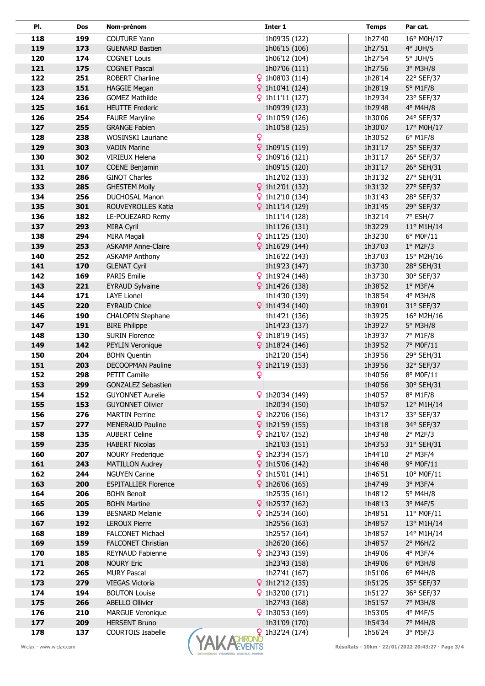| PI.                     | Dos | Nom-prénom                  |              | Inter 1                     | <b>Temps</b>                                      | Par cat.          |
|-------------------------|-----|-----------------------------|--------------|-----------------------------|---------------------------------------------------|-------------------|
| 118                     | 199 | <b>COUTURE Yann</b>         |              | 1h09'35 (122)               | 1h27'40                                           | 16° M0H/17        |
| 119                     | 173 | <b>GUENARD Bastien</b>      |              | 1h06'15 (106)               | 1h27'51                                           | $4°$ JUH/5        |
| 120                     | 174 | <b>COGNET Louis</b>         |              | 1h06'12 (104)               | 1h27'54                                           | $5^\circ$ JUH/5   |
| 121                     | 175 | <b>COGNET Pascal</b>        |              | 1h07'06 (111)               | 1h27'56                                           | 3° M3H/8          |
| 122                     | 251 | ROBERT Charline             |              | 1h08'03 (114)               | 1h28'14                                           | 22° SEF/37        |
| 123                     | 151 | <b>HAGGIE Megan</b>         | Q            | 1h10'41 (124)               | 1h28'19                                           | $5^\circ$ M1F/8   |
| 124                     | 236 | <b>GOMEZ Mathilde</b>       |              | 1h11'11 (127)               | 1h29'34                                           | 23° SEF/37        |
| 125                     | 161 | <b>HEUTTE Frederic</b>      |              | 1h09'39 (123)               | 1h29'48                                           | $4^{\circ}$ M4H/8 |
| 126                     | 254 | <b>FAURE Maryline</b>       |              | $\frac{6}{2}$ 1h10'59 (126) | 1h30'06                                           | 24° SEF/37        |
| 127                     | 255 | <b>GRANGE Fabien</b>        |              | 1h10'58 (125)               | 1h30'07                                           | 17° M0H/17        |
| 128                     | 238 | WOSINSKI Lauriane           | Q            |                             | 1h30'52                                           | 6° M1F/8          |
| 129                     | 303 | <b>VADIN Marine</b>         | Q            | 1h09'15 (119)               | 1h31'17                                           | 25° SEF/37        |
| 130                     | 302 | VIRIEUX Helena              |              | 1h09'16 (121)               | 1h31'17                                           | 26° SEF/37        |
| 131                     | 107 | <b>COENE Benjamin</b>       |              | 1h09'15 (120)               | 1h31'17                                           | 26° SEH/31        |
| 132                     | 286 | <b>GINOT Charles</b>        |              | 1h12'02 (133)               | 1h31'32                                           | 27° SEH/31        |
| 133                     | 285 | <b>GHESTEM Molly</b>        | $\mathbf{Q}$ | 1h12'01 (132)               | 1h31'32                                           | 27° SEF/37        |
| 134                     | 256 | DUCHOSAL Manon              | Q            | 1h12'10 (134)               | 1h31'43                                           | 28° SEF/37        |
| 135                     | 301 | ROUVEYROLLES Katia          | Q            | 1h11'14 (129)               | 1h31'45                                           | 29° SEF/37        |
| 136                     | 182 | LE-POUEZARD Remy            |              | 1h11'14 (128)               | 1h32'14                                           | 7° ESH/7          |
| 137                     | 293 | <b>MIRA Cyril</b>           |              | 1h11'26 (131)               | 1h32'29                                           | 11° M1H/14        |
| 138                     | 294 | MIRA Magali                 | $\mathsf{Q}$ | 1h11'25 (130)               | 1h32'30                                           | 6° M0F/11         |
| 139                     | 253 | <b>ASKAMP Anne-Claire</b>   | Q            | 1h16'29 (144)               | 1h37'03                                           | $1°$ M2F/3        |
| 140                     | 252 | <b>ASKAMP Anthony</b>       |              | 1h16'22 (143)               | 1h37'03                                           | 15° M2H/16        |
| 141                     | 170 | <b>GLENAT Cyril</b>         |              | 1h19'23 (147)               | 1h37'30                                           | 28° SEH/31        |
| 142                     | 169 | <b>PARIS Emilie</b>         |              | $\frac{6}{2}$ 1h19'24 (148) | 1h37'30                                           | 30° SEF/37        |
| 143                     | 221 | <b>EYRAUD Sylvaine</b>      | Ϙ            | 1h14'26 (138)               | 1h38'52                                           | $1^{\circ}$ M3F/4 |
| 144                     | 171 | LAYE Lionel                 |              | 1h14'30 (139)               | 1h38'54                                           | 4° M3H/8          |
| 145                     | 220 | <b>EYRAUD Chloe</b>         | $\mathbf{Q}$ | 1h14'34 (140)               | 1h39'01                                           | 31° SEF/37        |
| 146                     | 190 | <b>CHALOPIN Stephane</b>    |              | 1h14'21 (136)               | 1h39'25                                           | 16° M2H/16        |
| 147                     | 191 | <b>BIRE Philippe</b>        |              | 1h14'23 (137)               | 1h39'27                                           | 5° M3H/8          |
| 148                     | 130 | <b>SURIN Florence</b>       | ₽            | 1h18'19 (145)               | 1h39'37                                           | 7° M1F/8          |
| 149                     | 142 | PEYLIN Veronique            | Q            | 1h18'24 (146)               | 1h39'52                                           | 7° M0F/11         |
| 150                     | 204 | <b>BOHN Quentin</b>         |              | 1h21'20 (154)               | 1h39'56                                           | 29° SEH/31        |
| 151                     | 203 | <b>DECOOPMAN Pauline</b>    | Q            | 1h21'19 (153)               | 1h39'56                                           | 32° SEF/37        |
| 152                     | 298 | <b>PETIT Camille</b>        | Q            |                             | 1h40'56                                           | 8° M0F/11         |
| 153                     | 299 | GONZALEZ Sebastien          |              |                             | 1h40'56                                           | 30° SEH/31        |
| 154                     | 152 | <b>GUYONNET Aurelie</b>     |              | 1h20'34 (149)               | 1h40'57                                           | 8° M1F/8          |
| 155                     | 153 | <b>GUYONNET Olivier</b>     |              | 1h20'34 (150)               | 1h40'57                                           | 12° M1H/14        |
| 156                     | 276 | <b>MARTIN Perrine</b>       |              | 1h22'06 (156)               | 1h43'17                                           | 33° SEF/37        |
| 157                     | 277 | <b>MENERAUD Pauline</b>     | Q            | 1h21'59 (155)               | 1h43'18                                           | 34° SEF/37        |
| 158                     | 135 | <b>AUBERT Celine</b>        |              | 1h21'07 (152)               | 1h43'48                                           | $2^{\circ}$ M2F/3 |
| 159                     | 235 | <b>HABERT Nicolas</b>       |              | 1h21'03 (151)               | 1h43'53                                           | 31° SEH/31        |
| 160                     | 207 | <b>NOURY Frederique</b>     |              | 1h23'34 (157)               | 1h44'10                                           | $2^{\circ}$ M3F/4 |
| 161                     | 243 | <b>MATILLON Audrey</b>      | Q            | 1h15'06 (142)               | 1h46'48                                           | 9° M0F/11         |
| 162                     | 244 | <b>NGUYEN Carine</b>        |              | 1h15'01 (141)               | 1h46'51                                           | 10° M0F/11        |
| 163                     | 200 | <b>ESPITALLIER Florence</b> |              | 1h26'06 (165)               | 1h47'49                                           | $3°$ M3F/4        |
| 164                     | 206 | <b>BOHN Benoit</b>          |              | 1h25'35 (161)               | 1h48'12                                           | 5° M4H/8          |
| 165                     | 205 | <b>BOHN Martine</b>         |              | 1h25'37 (162)               | 1h48'13                                           | 3° M4F/5          |
| 166                     | 139 | <b>BESNARD Melanie</b>      |              | 1h25'34 (160)               | 1h48'51                                           | 11° M0F/11        |
| 167                     | 192 | <b>LEROUX Pierre</b>        |              | 1h25'56 (163)               | 1h48'57                                           | 13° M1H/14        |
| 168                     | 189 | <b>FALCONET Michael</b>     |              | 1h25'57 (164)               | 1h48'57                                           | 14° M1H/14        |
| 169                     | 159 | <b>FALCONET Christian</b>   |              | 1h26'20 (166)               | 1h48'57                                           | $2^{\circ}$ M6H/2 |
| 170                     | 185 | REYNAUD Fabienne            |              | $\frac{6}{2}$ 1h23'43 (159) | 1h49'06                                           | 4° M3F/4          |
| 171                     | 208 | <b>NOURY Eric</b>           |              | 1h23'43 (158)               | 1h49'06                                           | $6^\circ$ M3H/8   |
| 172                     | 265 | <b>MURY Pascal</b>          |              | 1h27'41 (167)               | 1h51'06                                           | $6^{\circ}$ M4H/8 |
| 173                     | 279 | <b>VIEGAS Victoria</b>      | $\mathbf{Q}$ | 1h12'12 (135)               | 1h51'25                                           | 35° SEF/37        |
| 174                     | 194 | <b>BOUTON Louise</b>        | Q            | 1h32'00 (171)               | 1h51'27                                           | 36° SEF/37        |
| 175                     | 266 | <b>ABELLO Ollivier</b>      |              | 1h27'43 (168)               | 1h51'57                                           | 7° M3H/8          |
| 176                     | 210 | <b>MARGUE Veronique</b>     |              | $\frac{6}{2}$ 1h30'53 (169) | 1h53'05                                           | 4° M4F/5          |
| 177                     | 209 | <b>HERSENT Bruno</b>        |              | 1h31'09 (170)               | 1h54'34                                           | 7° M4H/8          |
| 178                     | 137 | <b>COURTOIS Isabelle</b>    |              | $\frac{6}{2}$ 1h32'24 (174) | 1h56'24                                           | $3°$ M5F/3        |
| Wiclax · www.wiclax.com |     |                             | YAK AHROND   |                             | Résultats - 10km · 22/01/2022 20:43:27 · Page 3/4 |                   |